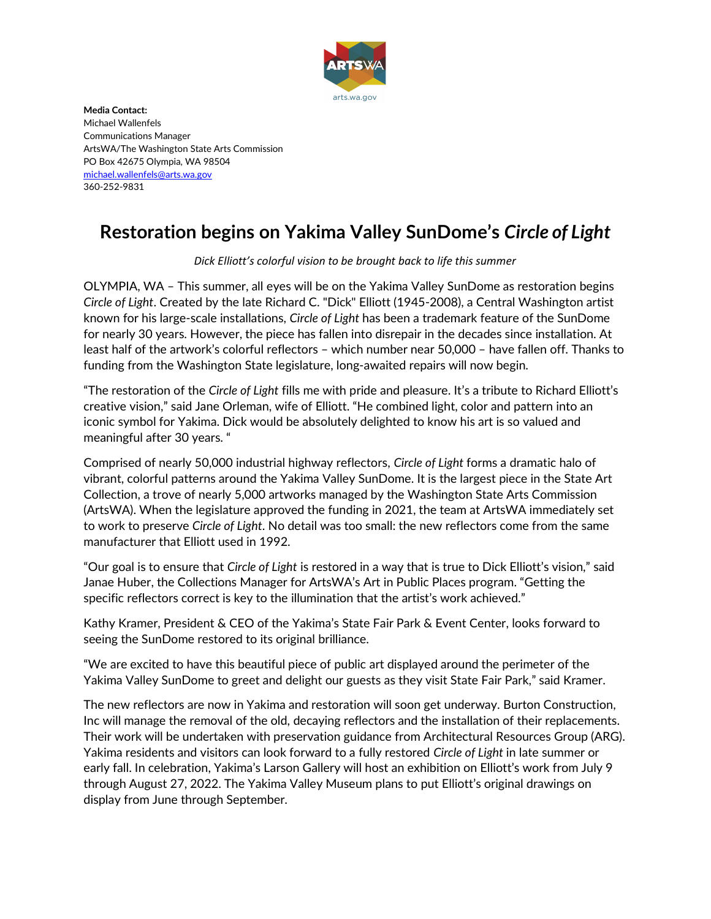

Media Contact: Michael Wallenfels Communications Manager ArtsWA/The Washington State Arts Commission PO Box 42675 Olympia, WA 98504 michael.wallenfels@arts.wa.gov 360-252-9831

## Restoration begins on Yakima Valley SunDome's Circle of Light

Dick Elliott's colorful vision to be brought back to life this summer

OLYMPIA, WA – This summer, all eyes will be on the Yakima Valley SunDome as restoration begins Circle of Light. Created by the late Richard C. "Dick" Elliott (1945-2008), a Central Washington artist known for his large-scale installations, Circle of Light has been a trademark feature of the SunDome for nearly 30 years. However, the piece has fallen into disrepair in the decades since installation. At least half of the artwork's colorful reflectors – which number near 50,000 – have fallen off. Thanks to funding from the Washington State legislature, long-awaited repairs will now begin.

"The restoration of the Circle of Light fills me with pride and pleasure. It's a tribute to Richard Elliott's creative vision," said Jane Orleman, wife of Elliott. "He combined light, color and pattern into an iconic symbol for Yakima. Dick would be absolutely delighted to know his art is so valued and meaningful after 30 years. "

Comprised of nearly 50,000 industrial highway reflectors, Circle of Light forms a dramatic halo of vibrant, colorful patterns around the Yakima Valley SunDome. It is the largest piece in the State Art Collection, a trove of nearly 5,000 artworks managed by the Washington State Arts Commission (ArtsWA). When the legislature approved the funding in 2021, the team at ArtsWA immediately set to work to preserve Circle of Light. No detail was too small: the new reflectors come from the same manufacturer that Elliott used in 1992.

"Our goal is to ensure that Circle of Light is restored in a way that is true to Dick Elliott's vision," said Janae Huber, the Collections Manager for ArtsWA's Art in Public Places program. "Getting the specific reflectors correct is key to the illumination that the artist's work achieved."

Kathy Kramer, President & CEO of the Yakima's State Fair Park & Event Center, looks forward to seeing the SunDome restored to its original brilliance.

"We are excited to have this beautiful piece of public art displayed around the perimeter of the Yakima Valley SunDome to greet and delight our guests as they visit State Fair Park," said Kramer.

The new reflectors are now in Yakima and restoration will soon get underway. Burton Construction, Inc will manage the removal of the old, decaying reflectors and the installation of their replacements. Their work will be undertaken with preservation guidance from Architectural Resources Group (ARG). Yakima residents and visitors can look forward to a fully restored Circle of Light in late summer or early fall. In celebration, Yakima's Larson Gallery will host an exhibition on Elliott's work from July 9 through August 27, 2022. The Yakima Valley Museum plans to put Elliott's original drawings on display from June through September.